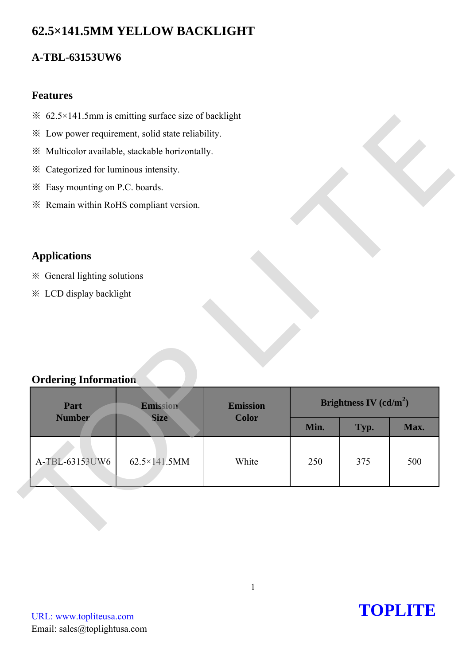# **62.5×141.5MM YELLOW BACKLIGHT**

## **A-TBL-63153UW6**

### **Features**

- $\frac{1}{2}$  62.5×141.5mm is emitting surface size of backlight
- ※ Low power requirement, solid state reliability.
- ※ Multicolor available, stackable horizontally.
- ※ Categorized for luminous intensity.
- ※ Easy mounting on P.C. boards.
- ※ Remain within RoHS compliant version.

## **Applications**

### **Ordering Information**

| <sup>※</sup> 62.5×141.5mm is emitting surface size of backlight |                                                   |                                 |      |                          |      |
|-----------------------------------------------------------------|---------------------------------------------------|---------------------------------|------|--------------------------|------|
|                                                                 | ※ Low power requirement, solid state reliability. |                                 |      |                          |      |
|                                                                 | ※ Multicolor available, stackable horizontally.   |                                 |      |                          |      |
| * Categorized for luminous intensity.                           |                                                   |                                 |      |                          |      |
| * Easy mounting on P.C. boards.                                 |                                                   |                                 |      |                          |      |
| * Remain within RoHS compliant version.                         |                                                   |                                 |      |                          |      |
|                                                                 |                                                   |                                 |      |                          |      |
| <b>Applications</b>                                             |                                                   |                                 |      |                          |      |
| * General lighting solutions                                    |                                                   |                                 |      |                          |      |
| * LCD display backlight                                         |                                                   |                                 |      |                          |      |
|                                                                 |                                                   |                                 |      |                          |      |
|                                                                 |                                                   |                                 |      |                          |      |
| <b>Ordering Information</b>                                     |                                                   |                                 |      |                          |      |
| Part<br><b>Number</b>                                           | Emission<br><b>Size</b>                           | <b>Emission</b><br><b>Color</b> |      | Brightness IV $(cd/m^2)$ |      |
|                                                                 |                                                   |                                 | Min. | Typ.                     | Max. |
| A-TBL-63153UW6                                                  | 62.5×141.5MM                                      | White                           | 250  | 375                      | 500  |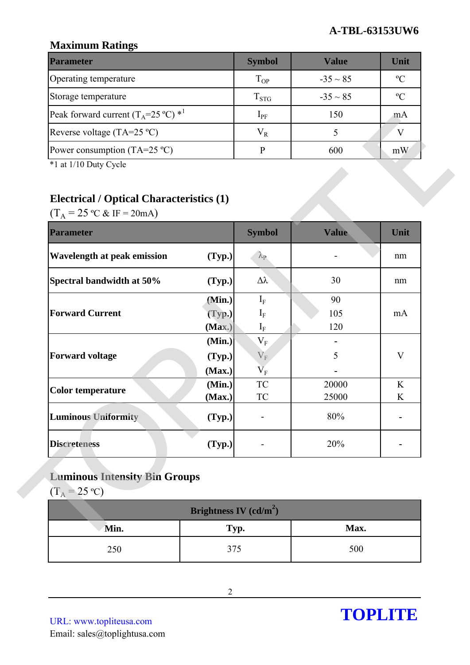### **Maximum Ratings**

| <b>Parameter</b>                                        | <b>Symbol</b> | <b>Value</b>  | Unit           |
|---------------------------------------------------------|---------------|---------------|----------------|
| Operating temperature                                   | $T_{OP}$      | $-35 \sim 85$ | $\mathcal{C}$  |
| Storage temperature                                     | $T_{STG}$     | $-35 \sim 85$ | $\mathfrak{O}$ |
| Peak forward current $(T_A=25 \degree C)$ <sup>*1</sup> | $1_{\rm PF}$  | 150           | m A            |
| Reverse voltage (TA=25 $^{\circ}$ C)                    | $V_{R}$       |               |                |
| Power consumption (TA=25 $^{\circ}$ C)                  |               | 600           | mW             |

## **Electrical / Optical Characteristics (1)**

| Peak forward current $(T_A=25 \degree C)$ * <sup>1</sup> |                          | $I_{PF}$                             | 150          | mA           |
|----------------------------------------------------------|--------------------------|--------------------------------------|--------------|--------------|
| Reverse voltage (TA=25 °C)                               |                          | $V_R$                                | 5            | $\mathbf{V}$ |
| Power consumption $(TA=25 \degree C)$                    |                          | $\mathbf{P}$                         | 600          | mW           |
| *1 at 1/10 Duty Cycle                                    |                          |                                      |              |              |
|                                                          |                          |                                      |              |              |
| <b>Electrical / Optical Characteristics (1)</b>          |                          |                                      |              |              |
| $(T_A = 25 \text{ °C} \& \text{ IF} = 20 \text{ mA})$    |                          |                                      |              |              |
| <b>Parameter</b>                                         |                          | <b>Symbol</b>                        | <b>Value</b> | Unit         |
| <b>Wavelength at peak emission</b>                       | (Typ.)                   | $\lambda_{\rm P}$                    |              | nm           |
| Spectral bandwidth at 50%                                | (Typ.)                   | Δλ                                   | 30           | nm           |
|                                                          | (Min.)                   | $\mathbf{I}_{\rm F}$                 | 90           |              |
| <b>Forward Current</b>                                   | (Typ.)                   | $I_F$                                | 105          | mA           |
|                                                          | (Max.)                   | $I_F$                                | 120          |              |
|                                                          | (Min.)                   | $V_{F}$                              |              |              |
| <b>Forward voltage</b>                                   | (Typ.)<br>(Max.)         | $\mathbf{V}_\mathrm{F}$<br>$\rm V_F$ | 5            | V            |
|                                                          | (Min.)                   | ${\rm TC}$                           | 20000        | K            |
| <b>Color temperature</b>                                 | (Max.)                   | TC                                   | 25000        | K            |
| <b>Luminous Uniformity</b>                               | (Typ.)                   |                                      | 80%          |              |
| <b>Discreteness</b>                                      | (Typ.)                   |                                      | 20%          |              |
| <b>Luminous Intensity Bin Groups</b>                     |                          |                                      |              |              |
| $(T_A = 25 \text{ °C})$                                  |                          |                                      |              |              |
|                                                          | Brightness IV $(cd/m^2)$ |                                      |              |              |
| Min.                                                     | Typ.                     |                                      | Max.         |              |
| 250                                                      | 375                      |                                      | 500          |              |

# **Luminous Intensity Bin Groups**

| Brightness IV $(cd/m^2)$ |      |      |  |  |
|--------------------------|------|------|--|--|
| Min.                     | Typ. | Max. |  |  |
| 250                      | 375  | 500  |  |  |

URL: www.topliteusa.com Email: sales@toplightusa.com

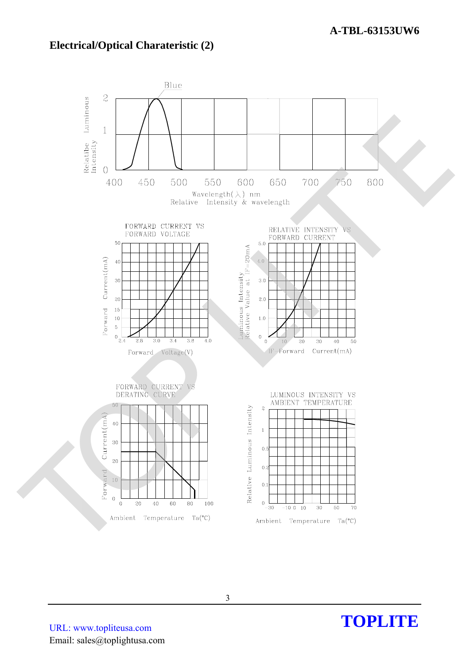### **Electrical/Optical Charateristic (2)**



URL: www.topliteusa.com Email: sales@toplightusa.com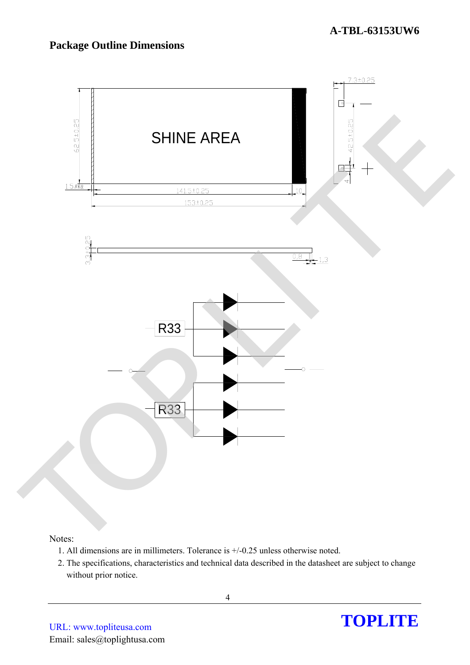## **Package Outline Dimensions**



#### Notes:

- 1. All dimensions are in millimeters. Tolerance is +/-0.25 unless otherwise noted.
- 2. The specifications, characteristics and technical data described in the datasheet are subject to change without prior notice.

4

URL: www.topliteusa.com Email: sales@toplightusa.com